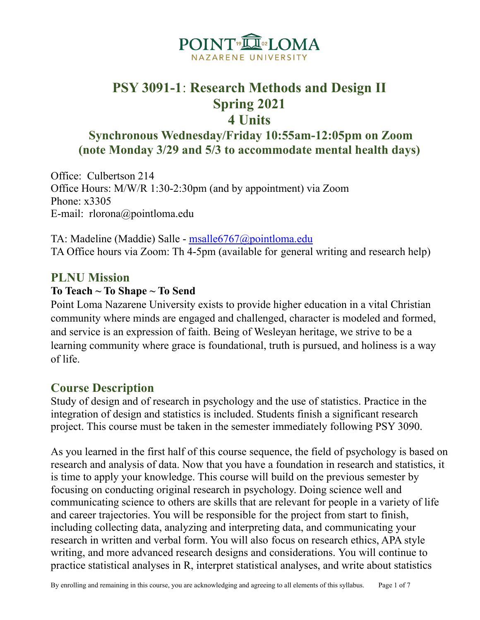

# **PSY 3091-1**: **Research Methods and Design II Spring 2021 4 Units**

**Synchronous Wednesday/Friday 10:55am-12:05pm on Zoom (note Monday 3/29 and 5/3 to accommodate mental health days)**

Office: Culbertson 214 Office Hours: M/W/R 1:30-2:30pm (and by appointment) via Zoom Phone: x3305 E-mail: rlorona@pointloma.edu

TA: Madeline (Maddie) Salle - [msalle6767@pointloma.edu](mailto:msalle6767@pointloma.edu) TA Office hours via Zoom: Th 4-5pm (available for general writing and research help)

### **PLNU Mission**

#### **To Teach ~ To Shape ~ To Send**

Point Loma Nazarene University exists to provide higher education in a vital Christian community where minds are engaged and challenged, character is modeled and formed, and service is an expression of faith. Being of Wesleyan heritage, we strive to be a learning community where grace is foundational, truth is pursued, and holiness is a way of life.

### **Course Description**

Study of design and of research in psychology and the use of statistics. Practice in the integration of design and statistics is included. Students finish a significant research project. This course must be taken in the semester immediately following PSY 3090.

As you learned in the first half of this course sequence, the field of psychology is based on research and analysis of data. Now that you have a foundation in research and statistics, it is time to apply your knowledge. This course will build on the previous semester by focusing on conducting original research in psychology. Doing science well and communicating science to others are skills that are relevant for people in a variety of life and career trajectories. You will be responsible for the project from start to finish, including collecting data, analyzing and interpreting data, and communicating your research in written and verbal form. You will also focus on research ethics, APA style writing, and more advanced research designs and considerations. You will continue to practice statistical analyses in R, interpret statistical analyses, and write about statistics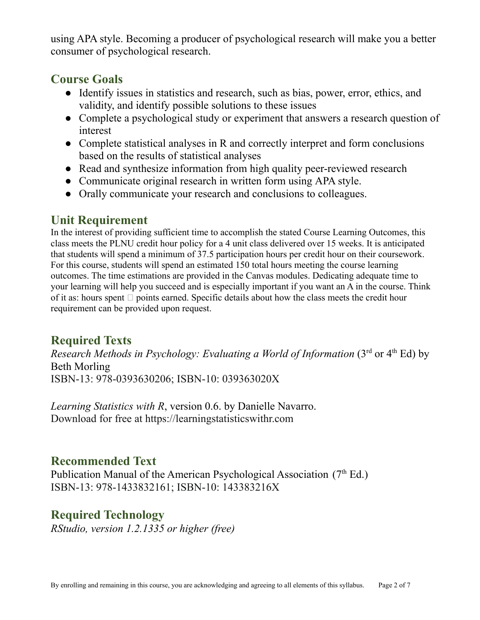using APA style. Becoming a producer of psychological research will make you a better consumer of psychological research.

### **Course Goals**

- Identify issues in statistics and research, such as bias, power, error, ethics, and validity, and identify possible solutions to these issues
- Complete a psychological study or experiment that answers a research question of interest
- Complete statistical analyses in R and correctly interpret and form conclusions based on the results of statistical analyses
- Read and synthesize information from high quality peer-reviewed research
- Communicate original research in written form using APA style.
- Orally communicate your research and conclusions to colleagues.

## **Unit Requirement**

In the interest of providing sufficient time to accomplish the stated Course Learning Outcomes, this class meets the PLNU credit hour policy for a 4 unit class delivered over 15 weeks. It is anticipated that students will spend a minimum of 37.5 participation hours per credit hour on their coursework. For this course, students will spend an estimated 150 total hours meeting the course learning outcomes. The time estimations are provided in the Canvas modules. Dedicating adequate time to your learning will help you succeed and is especially important if you want an A in the course. Think of it as: hours spent  $\Box$  points earned. Specific details about how the class meets the credit hour requirement can be provided upon request.

# **Required Texts**

*Research Methods in Psychology: Evaluating a World of Information* (3 rd or 4 th Ed) by Beth Morling ISBN-13: 978-0393630206; ISBN-10: 039363020X

*Learning Statistics with R*, version 0.6. by Danielle Navarro. Download for free at https://learningstatisticswithr.com

# **Recommended Text**

Publication Manual of the American Psychological Association  $(7<sup>th</sup> Ed.)$ ISBN-13: 978-1433832161; ISBN-10: 143383216X

## **Required Technology**

*RStudio, version 1.2.1335 or higher (free)*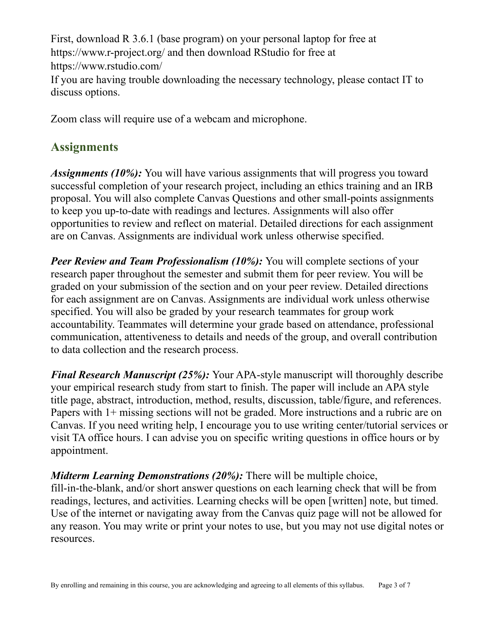First, download R 3.6.1 (base program) on your personal laptop for free at https://www.r-project.org/ and then download RStudio for free at https://www.rstudio.com/ If you are having trouble downloading the necessary technology, please contact IT to discuss options.

Zoom class will require use of a webcam and microphone.

# **Assignments**

*Assignments (10%):* You will have various assignments that will progress you toward successful completion of your research project, including an ethics training and an IRB proposal. You will also complete Canvas Questions and other small-points assignments to keep you up-to-date with readings and lectures. Assignments will also offer opportunities to review and reflect on material. Detailed directions for each assignment are on Canvas. Assignments are individual work unless otherwise specified.

*Peer Review and Team Professionalism (10%):* You will complete sections of your research paper throughout the semester and submit them for peer review. You will be graded on your submission of the section and on your peer review. Detailed directions for each assignment are on Canvas. Assignments are individual work unless otherwise specified. You will also be graded by your research teammates for group work accountability. Teammates will determine your grade based on attendance, professional communication, attentiveness to details and needs of the group, and overall contribution to data collection and the research process.

*Final Research Manuscript (25%):* Your APA-style manuscript will thoroughly describe your empirical research study from start to finish. The paper will include an APA style title page, abstract, introduction, method, results, discussion, table/figure, and references. Papers with 1+ missing sections will not be graded. More instructions and a rubric are on Canvas. If you need writing help, I encourage you to use writing center/tutorial services or visit TA office hours. I can advise you on specific writing questions in office hours or by appointment.

### *Midterm Learning Demonstrations (20%):* There will be multiple choice,

fill-in-the-blank, and/or short answer questions on each learning check that will be from readings, lectures, and activities. Learning checks will be open [written] note, but timed. Use of the internet or navigating away from the Canvas quiz page will not be allowed for any reason. You may write or print your notes to use, but you may not use digital notes or resources.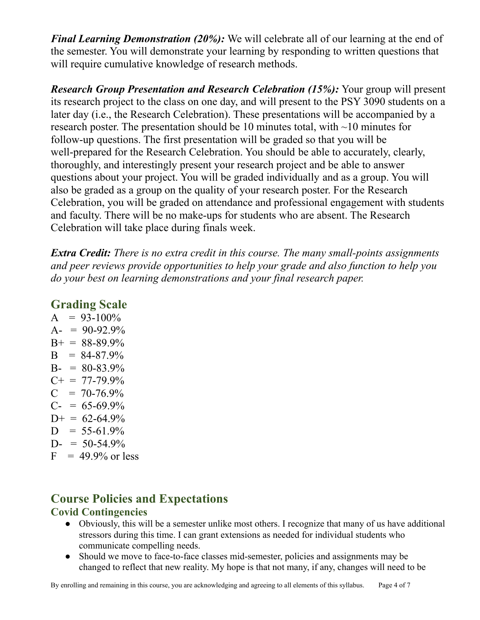*Final Learning Demonstration (20%):* We will celebrate all of our learning at the end of the semester. You will demonstrate your learning by responding to written questions that will require cumulative knowledge of research methods.

*Research Group Presentation and Research Celebration (15%):* Your group will present its research project to the class on one day, and will present to the PSY 3090 students on a later day (i.e., the Research Celebration). These presentations will be accompanied by a research poster. The presentation should be 10 minutes total, with ~10 minutes for follow-up questions. The first presentation will be graded so that you will be well-prepared for the Research Celebration. You should be able to accurately, clearly, thoroughly, and interestingly present your research project and be able to answer questions about your project. You will be graded individually and as a group. You will also be graded as a group on the quality of your research poster. For the Research Celebration, you will be graded on attendance and professional engagement with students and faculty. There will be no make-ups for students who are absent. The Research Celebration will take place during finals week.

*Extra Credit: There is no extra credit in this course. The many small-points assignments and peer reviews provide opportunities to help your grade and also function to help you do your best on learning demonstrations and your final research paper.*

### **Grading Scale**

 $A = 93-100\%$  $A- = 90-92.9%$  $B+ = 88-89.9%$  $B = 84-87.9%$  $B - 80 - 83.9\%$  $C_{+}$  = 77-79.9%  $C = 70-76.9\%$  $C = 65-69.9%$  $D+ = 62-64.9%$  $D = 55-61.9%$  $D = 50-54.9%$  $F = 49.9\%$  or less

### **Course Policies and Expectations Covid Contingencies**

#### • Obviously, this will be a semester unlike most others. I recognize that many of us have additional stressors during this time. I can grant extensions as needed for individual students who communicate compelling needs.

• Should we move to face-to-face classes mid-semester, policies and assignments may be changed to reflect that new reality. My hope is that not many, if any, changes will need to be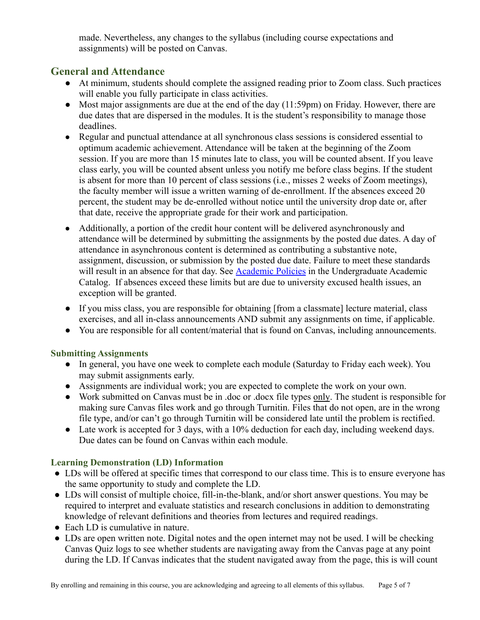made. Nevertheless, any changes to the syllabus (including course expectations and assignments) will be posted on Canvas.

#### **General and Attendance**

- At minimum, students should complete the assigned reading prior to Zoom class. Such practices will enable you fully participate in class activities.
- Most major assignments are due at the end of the day (11:59pm) on Friday. However, there are due dates that are dispersed in the modules. It is the student's responsibility to manage those deadlines.
- Regular and punctual attendance at all synchronous class sessions is considered essential to optimum academic achievement. Attendance will be taken at the beginning of the Zoom session. If you are more than 15 minutes late to class, you will be counted absent. If you leave class early, you will be counted absent unless you notify me before class begins. If the student is absent for more than 10 percent of class sessions (i.e., misses 2 weeks of Zoom meetings), the faculty member will issue a written warning of de-enrollment. If the absences exceed 20 percent, the student may be de-enrolled without notice until the university drop date or, after that date, receive the appropriate grade for their work and participation.
- Additionally, a portion of the credit hour content will be delivered asynchronously and attendance will be determined by submitting the assignments by the posted due dates. A day of attendance in asynchronous content is determined as contributing a substantive note, assignment, discussion, or submission by the posted due date. Failure to meet these standards will result in an absence for that day. See [Academic](https://catalog.pointloma.edu/content.php?catoid=46&navoid=2650#Class_Attendance) Policies in the Undergraduate Academic Catalog. If absences exceed these limits but are due to university excused health issues, an exception will be granted.
- If you miss class, you are responsible for obtaining [from a classmate] lecture material, class exercises, and all in-class announcements AND submit any assignments on time, if applicable.
- You are responsible for all content/material that is found on Canvas, including announcements.

#### **Submitting Assignments**

- In general, you have one week to complete each module (Saturday to Friday each week). You may submit assignments early.
- Assignments are individual work; you are expected to complete the work on your own.
- Work submitted on Canvas must be in .doc or .docx file types only. The student is responsible for making sure Canvas files work and go through Turnitin. Files that do not open, are in the wrong file type, and/or can't go through Turnitin will be considered late until the problem is rectified.
- Late work is accepted for 3 days, with a 10% deduction for each day, including weekend days. Due dates can be found on Canvas within each module.

#### **Learning Demonstration (LD) Information**

- LDs will be offered at specific times that correspond to our class time. This is to ensure everyone has the same opportunity to study and complete the LD.
- LDs will consist of multiple choice, fill-in-the-blank, and/or short answer questions. You may be required to interpret and evaluate statistics and research conclusions in addition to demonstrating knowledge of relevant definitions and theories from lectures and required readings.
- $\bullet$  Each LD is cumulative in nature.
- LDs are open written note. Digital notes and the open internet may not be used. I will be checking Canvas Quiz logs to see whether students are navigating away from the Canvas page at any point during the LD. If Canvas indicates that the student navigated away from the page, this is will count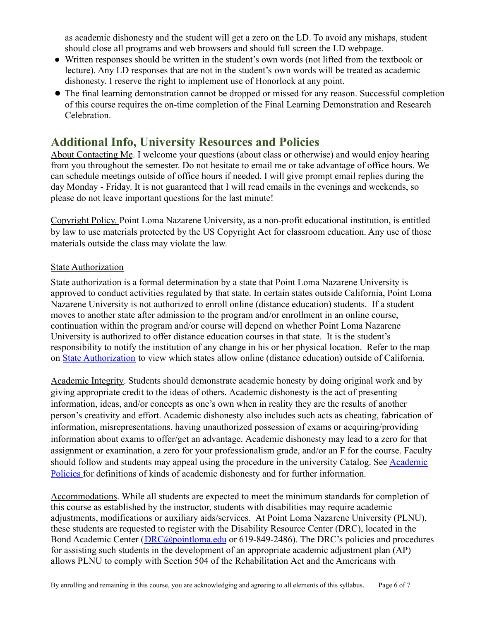as academic dishonesty and the student will get a zero on the LD. To avoid any mishaps, student should close all programs and web browsers and should full screen the LD webpage.

- Written responses should be written in the student's own words (not lifted from the textbook or lecture). Any LD responses that are not in the student's own words will be treated as academic dishonesty. I reserve the right to implement use of Honorlock at any point.
- The final learning demonstration cannot be dropped or missed for any reason. Successful completion of this course requires the on-time completion of the Final Learning Demonstration and Research Celebration.

### **Additional Info, University Resources and Policies**

About Contacting Me. I welcome your questions (about class or otherwise) and would enjoy hearing from you throughout the semester. Do not hesitate to email me or take advantage of office hours. We can schedule meetings outside of office hours if needed. I will give prompt email replies during the day Monday - Friday. It is not guaranteed that I will read emails in the evenings and weekends, so please do not leave important questions for the last minute!

Copyright Policy. Point Loma Nazarene University, as a non-profit educational institution, is entitled by law to use materials protected by the US Copyright Act for classroom education. Any use of those materials outside the class may violate the law.

#### **State Authorization**

State authorization is a formal determination by a state that Point Loma Nazarene University is approved to conduct activities regulated by that state. In certain states outside California, Point Loma Nazarene University is not authorized to enroll online (distance education) students. If a student moves to another state after admission to the program and/or enrollment in an online course, continuation within the program and/or course will depend on whether Point Loma Nazarene University is authorized to offer distance education courses in that state. It is the student's responsibility to notify the institution of any change in his or her physical location. Refer to the map on [State Authorization](https://www.pointloma.edu/offices/office-institutional-effectiveness-research/disclosures) to view which states allow online (distance education) outside of California.

Academic Integrity. Students should demonstrate academic honesty by doing original work and by giving appropriate credit to the ideas of others. Academic dishonesty is the act of presenting information, ideas, and/or concepts as one's own when in reality they are the results of another person's creativity and effort. Academic dishonesty also includes such acts as cheating, fabrication of information, misrepresentations, having unauthorized possession of exams or acquiring/providing information about exams to offer/get an advantage. Academic dishonesty may lead to a zero for that assignment or examination, a zero for your professionalism grade, and/or an F for the course. Faculty should follow and students may appeal using the procedure in the university Catalog. See [Academic](http://catalog.pointloma.edu/content.php?catoid=18&navoid=1278) [Policies](http://catalog.pointloma.edu/content.php?catoid=18&navoid=1278) for definitions of kinds of academic dishonesty and for further information.

Accommodations. While all students are expected to meet the minimum standards for completion of this course as established by the instructor, students with disabilities may require academic adjustments, modifications or auxiliary aids/services. At Point Loma Nazarene University (PLNU), these students are requested to register with the Disability Resource Center (DRC), located in the Bond Academic Center (*[DRC@pointloma.edu](mailto:DRC@pointloma.edu)* or 619-849-2486). The DRC's policies and procedures for assisting such students in the development of an appropriate academic adjustment plan (AP) allows PLNU to comply with Section 504 of the Rehabilitation Act and the Americans with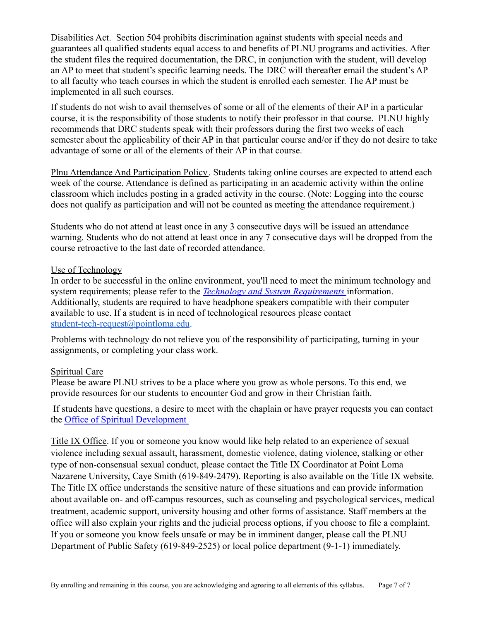Disabilities Act. Section 504 prohibits discrimination against students with special needs and guarantees all qualified students equal access to and benefits of PLNU programs and activities. After the student files the required documentation, the DRC, in conjunction with the student, will develop an AP to meet that student's specific learning needs. The DRC will thereafter email the student's AP to all faculty who teach courses in which the student is enrolled each semester. The AP must be implemented in all such courses.

If students do not wish to avail themselves of some or all of the elements of their AP in a particular course, it is the responsibility of those students to notify their professor in that course. PLNU highly recommends that DRC students speak with their professors during the first two weeks of each semester about the applicability of their AP in that particular course and/or if they do not desire to take advantage of some or all of the elements of their AP in that course.

Plnu Attendance And Participation Policy. Students taking online courses are expected to attend each week of the course. Attendance is defined as participating in an academic activity within the online classroom which includes posting in a graded activity in the course. (Note: Logging into the course does not qualify as participation and will not be counted as meeting the attendance requirement.)

Students who do not attend at least once in any 3 consecutive days will be issued an attendance warning. Students who do not attend at least once in any 7 consecutive days will be dropped from the course retroactive to the last date of recorded attendance.

#### Use of Technology

In order to be successful in the online environment, you'll need to meet the minimum technology and system requirements; please refer to the *Technology [and System Requirements](https://help.pointloma.edu/TDClient/1808/Portal/KB/ArticleDet?ID=108349)* information. Additionally, students are required to have headphone speakers compatible with their computer available to use. If a student is in need of technological resources please contact [student-tech-request@pointloma.edu](mailto:student-tech-request@pointloma.edu).

Problems with technology do not relieve you of the responsibility of participating, turning in your assignments, or completing your class work.

#### Spiritual Care

Please be aware PLNU strives to be a place where you grow as whole persons. To this end, we provide resources for our students to encounter God and grow in their Christian faith.

If students have questions, a desire to meet with the chaplain or have prayer requests you can contact the [Office of Spiritual Development](https://www.pointloma.edu/offices/spiritual-development)

Title IX Office. If you or someone you know would like help related to an experience of sexual violence including sexual assault, harassment, domestic violence, dating violence, stalking or other type of non-consensual sexual conduct, please contact the Title IX Coordinator at Point Loma Nazarene University, Caye Smith (619-849-2479). Reporting is also available on the Title IX website. The Title IX office understands the sensitive nature of these situations and can provide information about available on- and off-campus resources, such as counseling and psychological services, medical treatment, academic support, university housing and other forms of assistance. Staff members at the office will also explain your rights and the judicial process options, if you choose to file a complaint. If you or someone you know feels unsafe or may be in imminent danger, please call the PLNU Department of Public Safety (619-849-2525) or local police department (9-1-1) immediately.